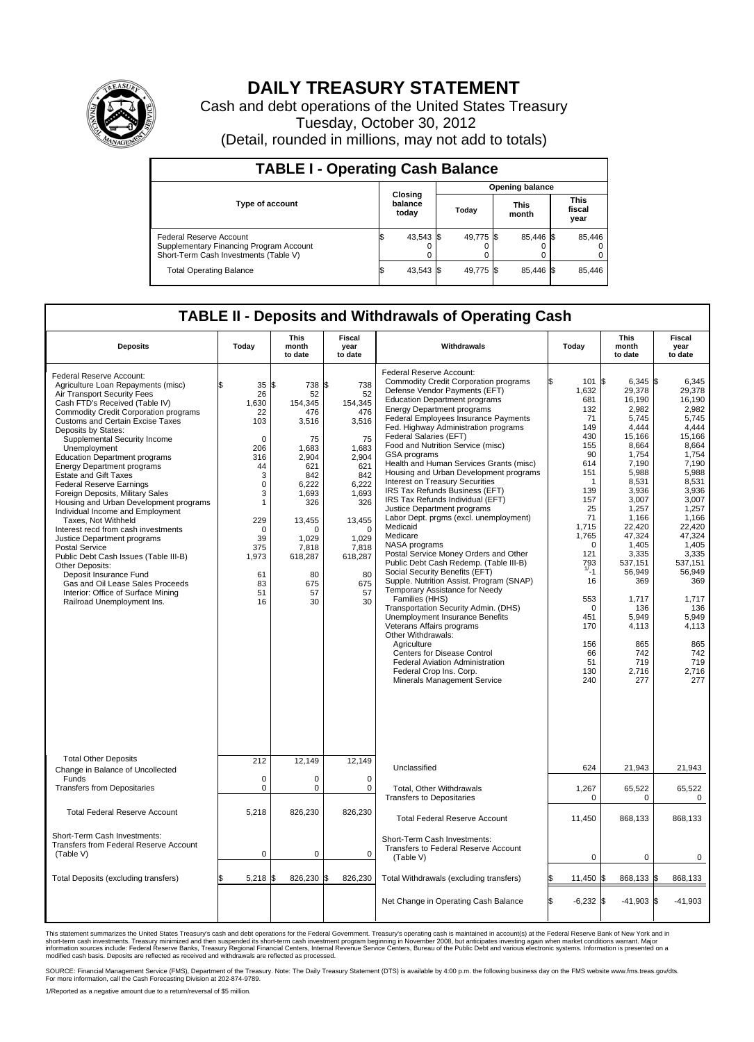

## **DAILY TREASURY STATEMENT**

Cash and debt operations of the United States Treasury Tuesday, October 30, 2012 (Detail, rounded in millions, may not add to totals)

| <b>TABLE I - Operating Cash Balance</b>                                                                     |                             |                        |                      |                               |  |  |  |  |  |
|-------------------------------------------------------------------------------------------------------------|-----------------------------|------------------------|----------------------|-------------------------------|--|--|--|--|--|
|                                                                                                             |                             | <b>Opening balance</b> |                      |                               |  |  |  |  |  |
| <b>Type of account</b>                                                                                      | Closing<br>balance<br>today | Today                  | <b>This</b><br>month | <b>This</b><br>fiscal<br>year |  |  |  |  |  |
| Federal Reserve Account<br>Supplementary Financing Program Account<br>Short-Term Cash Investments (Table V) | 43,543 \$<br>0              | 49,775 \$              | 85,446 \$            | 85,446<br>$^{(1)}$<br>0       |  |  |  |  |  |
| <b>Total Operating Balance</b>                                                                              | 43,543 \$                   | 49.775 \$              | 85.446 \$            | 85.446                        |  |  |  |  |  |

## **TABLE II - Deposits and Withdrawals of Operating Cash**

| <b>Deposits</b>                                                                                                                                                                                                                                                                                                                                                                                                                                                                                                                                                                                                                                                                                                                                                                                                                                                                  | Todav                                                                                                                                                             | This<br>month<br>to date                                                                                                                                                               | Fiscal<br>vear<br>to date                                                                                                                                                             | Withdrawals                                                                                                                                                                                                                                                                                                                                                                                                                                                                                                                                                                                                                                                                                                                                                                                                                                                                                                                                                                                                                                                                                                                                                                              | Today                                                                                                                                                                                                                                          | This<br>month<br>to date                                                                                                                                                                                                                                                                      | Fiscal<br>year<br>to date                                                                                                                                                                                                                                                                |  |
|----------------------------------------------------------------------------------------------------------------------------------------------------------------------------------------------------------------------------------------------------------------------------------------------------------------------------------------------------------------------------------------------------------------------------------------------------------------------------------------------------------------------------------------------------------------------------------------------------------------------------------------------------------------------------------------------------------------------------------------------------------------------------------------------------------------------------------------------------------------------------------|-------------------------------------------------------------------------------------------------------------------------------------------------------------------|----------------------------------------------------------------------------------------------------------------------------------------------------------------------------------------|---------------------------------------------------------------------------------------------------------------------------------------------------------------------------------------|------------------------------------------------------------------------------------------------------------------------------------------------------------------------------------------------------------------------------------------------------------------------------------------------------------------------------------------------------------------------------------------------------------------------------------------------------------------------------------------------------------------------------------------------------------------------------------------------------------------------------------------------------------------------------------------------------------------------------------------------------------------------------------------------------------------------------------------------------------------------------------------------------------------------------------------------------------------------------------------------------------------------------------------------------------------------------------------------------------------------------------------------------------------------------------------|------------------------------------------------------------------------------------------------------------------------------------------------------------------------------------------------------------------------------------------------|-----------------------------------------------------------------------------------------------------------------------------------------------------------------------------------------------------------------------------------------------------------------------------------------------|------------------------------------------------------------------------------------------------------------------------------------------------------------------------------------------------------------------------------------------------------------------------------------------|--|
| Federal Reserve Account:<br>Agriculture Loan Repayments (misc)<br>Air Transport Security Fees<br>Cash FTD's Received (Table IV)<br><b>Commodity Credit Corporation programs</b><br><b>Customs and Certain Excise Taxes</b><br>Deposits by States:<br>Supplemental Security Income<br>Unemployment<br><b>Education Department programs</b><br><b>Energy Department programs</b><br><b>Estate and Gift Taxes</b><br><b>Federal Reserve Earnings</b><br>Foreign Deposits, Military Sales<br>Housing and Urban Development programs<br>Individual Income and Employment<br>Taxes, Not Withheld<br>Interest recd from cash investments<br>Justice Department programs<br>Postal Service<br>Public Debt Cash Issues (Table III-B)<br>Other Deposits:<br>Deposit Insurance Fund<br>Gas and Oil Lease Sales Proceeds<br>Interior: Office of Surface Mining<br>Railroad Unemployment Ins. | 35<br>26<br>1,630<br>22<br>103<br>$\Omega$<br>206<br>316<br>44<br>3<br>0<br>3<br>$\mathbf{1}$<br>229<br>$\mathbf 0$<br>39<br>375<br>1,973<br>61<br>83<br>51<br>16 | l\$<br>738<br>52<br>154,345<br>476<br>3,516<br>75<br>1,683<br>2,904<br>621<br>842<br>6,222<br>1,693<br>326<br>13,455<br>$\Omega$<br>1.029<br>7.818<br>618,287<br>80<br>675<br>57<br>30 | S.<br>738<br>52<br>154,345<br>476<br>3,516<br>75<br>1.683<br>2,904<br>621<br>842<br>6,222<br>1,693<br>326<br>13,455<br>$\Omega$<br>1,029<br>7,818<br>618,287<br>80<br>675<br>57<br>30 | Federal Reserve Account:<br><b>Commodity Credit Corporation programs</b><br>Defense Vendor Payments (EFT)<br><b>Education Department programs</b><br><b>Energy Department programs</b><br>Federal Employees Insurance Payments<br>Fed. Highway Administration programs<br>Federal Salaries (EFT)<br>Food and Nutrition Service (misc)<br>GSA programs<br>Health and Human Services Grants (misc)<br>Housing and Urban Development programs<br><b>Interest on Treasury Securities</b><br>IRS Tax Refunds Business (EFT)<br>IRS Tax Refunds Individual (EFT)<br>Justice Department programs<br>Labor Dept. prgms (excl. unemployment)<br>Medicaid<br>Medicare<br>NASA programs<br>Postal Service Money Orders and Other<br>Public Debt Cash Redemp. (Table III-B)<br>Social Security Benefits (EFT)<br>Supple. Nutrition Assist. Program (SNAP)<br>Temporary Assistance for Needy<br>Families (HHS)<br>Transportation Security Admin. (DHS)<br><b>Unemployment Insurance Benefits</b><br>Veterans Affairs programs<br>Other Withdrawals:<br>Agriculture<br><b>Centers for Disease Control</b><br>Federal Aviation Administration<br>Federal Crop Ins. Corp.<br>Minerals Management Service | 101 \$<br>1,632<br>681<br>132<br>71<br>149<br>430<br>155<br>90<br>614<br>151<br>1<br>139<br>157<br>25<br>71<br>1,715<br>1,765<br>$\mathbf 0$<br>121<br>793<br>$1/1$ -1<br>16<br>553<br>$\Omega$<br>451<br>170<br>156<br>66<br>51<br>130<br>240 | $6.345$ \$<br>29,378<br>16,190<br>2,982<br>5,745<br>4,444<br>15,166<br>8.664<br>1,754<br>7,190<br>5,988<br>8,531<br>3,936<br>3,007<br>1,257<br>1,166<br>22.420<br>47,324<br>1,405<br>3,335<br>537,151<br>56,949<br>369<br>1,717<br>136<br>5,949<br>4,113<br>865<br>742<br>719<br>2,716<br>277 | 6.345<br>29,378<br>16,190<br>2.982<br>5.745<br>4,444<br>15,166<br>8.664<br>1,754<br>7,190<br>5,988<br>8.531<br>3,936<br>3,007<br>1,257<br>1.166<br>22.420<br>47,324<br>1.405<br>3,335<br>537,151<br>56,949<br>369<br>1,717<br>136<br>5,949<br>4,113<br>865<br>742<br>719<br>2,716<br>277 |  |
| <b>Total Other Deposits</b><br>Change in Balance of Uncollected                                                                                                                                                                                                                                                                                                                                                                                                                                                                                                                                                                                                                                                                                                                                                                                                                  | 212                                                                                                                                                               | 12,149                                                                                                                                                                                 | 12,149                                                                                                                                                                                | Unclassified                                                                                                                                                                                                                                                                                                                                                                                                                                                                                                                                                                                                                                                                                                                                                                                                                                                                                                                                                                                                                                                                                                                                                                             | 624                                                                                                                                                                                                                                            | 21,943                                                                                                                                                                                                                                                                                        | 21,943                                                                                                                                                                                                                                                                                   |  |
| Funds<br><b>Transfers from Depositaries</b>                                                                                                                                                                                                                                                                                                                                                                                                                                                                                                                                                                                                                                                                                                                                                                                                                                      | $\mathbf 0$<br>0                                                                                                                                                  | $\mathbf 0$<br>$\pmb{0}$                                                                                                                                                               | $\mathbf 0$<br>$\mathbf 0$                                                                                                                                                            | Total, Other Withdrawals                                                                                                                                                                                                                                                                                                                                                                                                                                                                                                                                                                                                                                                                                                                                                                                                                                                                                                                                                                                                                                                                                                                                                                 | 1,267                                                                                                                                                                                                                                          | 65,522                                                                                                                                                                                                                                                                                        | 65,522                                                                                                                                                                                                                                                                                   |  |
| <b>Total Federal Reserve Account</b>                                                                                                                                                                                                                                                                                                                                                                                                                                                                                                                                                                                                                                                                                                                                                                                                                                             | 5.218                                                                                                                                                             | 826,230                                                                                                                                                                                | 826,230                                                                                                                                                                               | <b>Transfers to Depositaries</b>                                                                                                                                                                                                                                                                                                                                                                                                                                                                                                                                                                                                                                                                                                                                                                                                                                                                                                                                                                                                                                                                                                                                                         | 0                                                                                                                                                                                                                                              | 0                                                                                                                                                                                                                                                                                             | $\mathbf 0$                                                                                                                                                                                                                                                                              |  |
|                                                                                                                                                                                                                                                                                                                                                                                                                                                                                                                                                                                                                                                                                                                                                                                                                                                                                  |                                                                                                                                                                   |                                                                                                                                                                                        |                                                                                                                                                                                       | <b>Total Federal Reserve Account</b>                                                                                                                                                                                                                                                                                                                                                                                                                                                                                                                                                                                                                                                                                                                                                                                                                                                                                                                                                                                                                                                                                                                                                     | 11,450                                                                                                                                                                                                                                         | 868,133                                                                                                                                                                                                                                                                                       | 868,133                                                                                                                                                                                                                                                                                  |  |
| Short-Term Cash Investments:<br>Transfers from Federal Reserve Account<br>(Table V)                                                                                                                                                                                                                                                                                                                                                                                                                                                                                                                                                                                                                                                                                                                                                                                              | $\mathbf 0$                                                                                                                                                       | 0                                                                                                                                                                                      | $\mathbf 0$                                                                                                                                                                           | Short-Term Cash Investments:<br>Transfers to Federal Reserve Account<br>(Table V)                                                                                                                                                                                                                                                                                                                                                                                                                                                                                                                                                                                                                                                                                                                                                                                                                                                                                                                                                                                                                                                                                                        | 0                                                                                                                                                                                                                                              | 0                                                                                                                                                                                                                                                                                             | 0                                                                                                                                                                                                                                                                                        |  |
| Total Deposits (excluding transfers)                                                                                                                                                                                                                                                                                                                                                                                                                                                                                                                                                                                                                                                                                                                                                                                                                                             | $5,218$ \$                                                                                                                                                        | 826,230                                                                                                                                                                                | 826,230                                                                                                                                                                               | Total Withdrawals (excluding transfers)                                                                                                                                                                                                                                                                                                                                                                                                                                                                                                                                                                                                                                                                                                                                                                                                                                                                                                                                                                                                                                                                                                                                                  | 11,450 \$                                                                                                                                                                                                                                      | 868,133 \$                                                                                                                                                                                                                                                                                    | 868,133                                                                                                                                                                                                                                                                                  |  |
|                                                                                                                                                                                                                                                                                                                                                                                                                                                                                                                                                                                                                                                                                                                                                                                                                                                                                  |                                                                                                                                                                   |                                                                                                                                                                                        |                                                                                                                                                                                       | Net Change in Operating Cash Balance                                                                                                                                                                                                                                                                                                                                                                                                                                                                                                                                                                                                                                                                                                                                                                                                                                                                                                                                                                                                                                                                                                                                                     | $-6,232$ \$<br>l\$                                                                                                                                                                                                                             | $-41,903$ \$                                                                                                                                                                                                                                                                                  | $-41,903$                                                                                                                                                                                                                                                                                |  |

This statement summarizes the United States Treasury's cash and debt operations for the Federal Government. Treasury's operating cash is maintained in account(s) at the Federal Reserve Bank of New York and in<br>short-term ca

SOURCE: Financial Management Service (FMS), Department of the Treasury. Note: The Daily Treasury Statement (DTS) is available by 4:00 p.m. the following business day on the FMS website www.fms.treas.gov/dts.<br>For more infor

1/Reported as a negative amount due to a return/reversal of \$5 million.